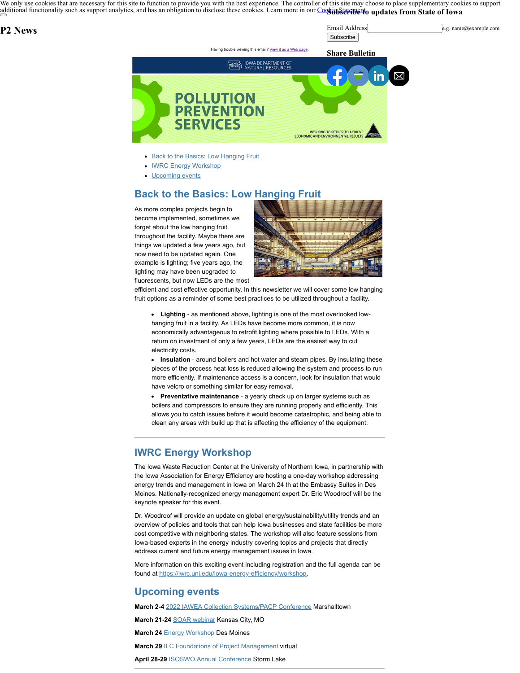We only use cookies that are necessary for this site to function to provide you with the best experience. The controller of this site may choose to place supplementary cookies to support [additional functionality such as support analytics, and has an obligation to disclose these cook](https://www.iowa.gov/)ies. Learn more in our Coostin Statument of updates from State of Iowa

## **P2 News**

Email Address e.g. name@example.com **Subscribe** 



- **[Back to the Basics: Low Hanging Fruit](#page-0-0)**
- **[IWRC Energy Workshop](#page-0-1)**
- [Upcoming events](#page-0-2)

## <span id="page-0-0"></span>**Back to the Basics: Low Hanging Fruit**

As more complex projects begin to become implemented, sometimes we forget about the low hanging fruit throughout the facility. Maybe there are things we updated a few years ago, but now need to be updated again. One example is lighting; five years ago, the lighting may have been upgraded to fluorescents, but now LEDs are the most



efficient and cost effective opportunity. In this newsletter we will cover some low hanging fruit options as a reminder of some best practices to be utilized throughout a facility.

**Lighting** - as mentioned above, lighting is one of the most overlooked lowhanging fruit in a facility. As LEDs have become more common, it is now economically advantageous to retrofit lighting where possible to LEDs. With a return on investment of only a few years, LEDs are the easiest way to cut electricity costs.

**Insulation** - around boilers and hot water and steam pipes. By insulating these pieces of the process heat loss is reduced allowing the system and process to run more efficiently. If maintenance access is a concern, look for insulation that would have velcro or something similar for easy removal.

**Preventative maintenance** - a yearly check up on larger systems such as boilers and compressors to ensure they are running properly and efficiently. This allows you to catch issues before it would become catastrophic, and being able to clean any areas with build up that is affecting the efficiency of the equipment.

## <span id="page-0-1"></span>**IWRC Energy Workshop**

The Iowa Waste Reduction Center at the University of Northern Iowa, in partnership with the Iowa Association for Energy Efficiency are hosting a one-day workshop addressing energy trends and management in Iowa on March 24 th at the Embassy Suites in Des Moines. Nationally-recognized energy management expert Dr. Eric Woodroof will be the keynote speaker for this event.

Dr. Woodroof will provide an update on global energy/sustainability/utility trends and an overview of policies and tools that can help Iowa businesses and state facilities be more cost competitive with neighboring states. The workshop will also feature sessions from Iowa-based experts in the energy industry covering topics and projects that directly address current and future energy management issues in Iowa.

More information on this exciting event including registration and the full agenda can be found at [https://iwrc.uni.edu/iowa-energy-efficiency/workshop.](https://iwrc.uni.edu/iowa-energy-efficiency/workshop?utm_medium=email&utm_source=govdelivery)

## <span id="page-0-2"></span>**Upcoming events**

**March 2-4** [2022 IAWEA Collection Systems/PACP Conference](https://www.iawea.org/event/2022-iawea-collection-systems-conference/?utm_medium=email&utm_source=govdelivery) Marshalltown

**March 21-24** [SOAR webinar](https://swana.swoogo.com/soar2022?utm_medium=email&utm_source=govdelivery) Kansas City, MO

**March 24** [Energy Workshop](https://iwrc.uni.edu/iowa-energy-efficiency/workshop/register?utm_medium=email&utm_source=govdelivery) Des Moines

**March 29 [ILC Foundations of Project Management](https://events.blackthorn.io/en/6g82hT47/ilc-foundations-of-project-management-virtual-workshop-4a4w6gohTP/overview?utm_medium=email&utm_source=govdelivery) virtual** 

**April 28-29** [ISOSWO Annual Conference](https://isoswo.org/meetinginfo.php?id=79&utm_medium=email&utm_source=govdelivery) Storm Lake